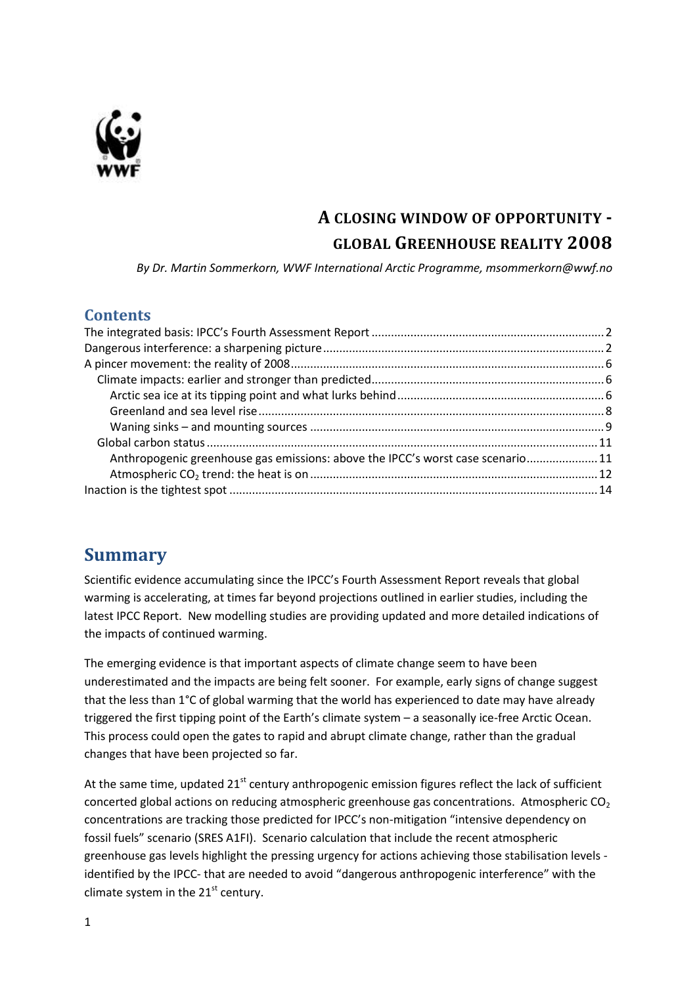

# **A CLOSING WINDOW OF OPPORTUNITY - GLOBAL GREENHOUSE REALITY 2008**

*By Dr. Martin Sommerkorn, WWF International Arctic Programme, msommerkorn@wwf.no*

#### **Contents**

| Anthropogenic greenhouse gas emissions: above the IPCC's worst case scenario11 |  |
|--------------------------------------------------------------------------------|--|
|                                                                                |  |
|                                                                                |  |
|                                                                                |  |

# **Summary**

Scientific evidence accumulating since the IPCC's Fourth Assessment Report reveals that global warming is accelerating, at times far beyond projections outlined in earlier studies, including the latest IPCC Report. New modelling studies are providing updated and more detailed indications of the impacts of continued warming.

The emerging evidence is that important aspects of climate change seem to have been underestimated and the impacts are being felt sooner. For example, early signs of change suggest that the less than 1°C of global warming that the world has experienced to date may have already triggered the first tipping point of the Earth's climate system – a seasonally ice-free Arctic Ocean. This process could open the gates to rapid and abrupt climate change, rather than the gradual changes that have been projected so far.

At the same time, updated  $21<sup>st</sup>$  century anthropogenic emission figures reflect the lack of sufficient concerted global actions on reducing atmospheric greenhouse gas concentrations. Atmospheric  $CO<sub>2</sub>$ concentrations are tracking those predicted for IPCC's non-mitigation "intensive dependency on fossil fuels" scenario (SRES A1FI). Scenario calculation that include the recent atmospheric greenhouse gas levels highlight the pressing urgency for actions achieving those stabilisation levels identified by the IPCC- that are needed to avoid "dangerous anthropogenic interference" with the climate system in the  $21<sup>st</sup>$  century.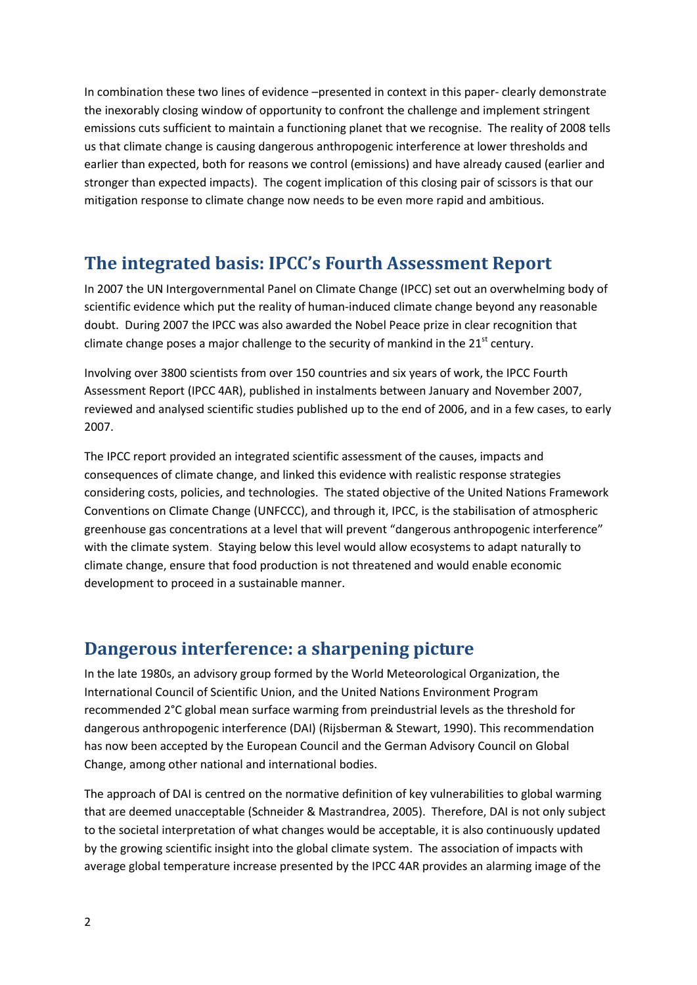In combination these two lines of evidence –presented in context in this paper- clearly demonstrate the inexorably closing window of opportunity to confront the challenge and implement stringent emissions cuts sufficient to maintain a functioning planet that we recognise. The reality of 2008 tells us that climate change is causing dangerous anthropogenic interference at lower thresholds and earlier than expected, both for reasons we control (emissions) and have already caused (earlier and stronger than expected impacts). The cogent implication of this closing pair of scissors is that our mitigation response to climate change now needs to be even more rapid and ambitious.

## <span id="page-1-0"></span>**The integrated basis: IPCC's Fourth Assessment Report**

In 2007 the UN Intergovernmental Panel on Climate Change (IPCC) set out an overwhelming body of scientific evidence which put the reality of human-induced climate change beyond any reasonable doubt. During 2007 the IPCC was also awarded the Nobel Peace prize in clear recognition that climate change poses a major challenge to the security of mankind in the  $21<sup>st</sup>$  century.

Involving over 3800 scientists from over 150 countries and six years of work, the IPCC Fourth Assessment Report (IPCC 4AR), published in instalments between January and November 2007, reviewed and analysed scientific studies published up to the end of 2006, and in a few cases, to early 2007.

The IPCC report provided an integrated scientific assessment of the causes, impacts and consequences of climate change, and linked this evidence with realistic response strategies considering costs, policies, and technologies. The stated objective of the United Nations Framework Conventions on Climate Change (UNFCCC), and through it, IPCC, is the stabilisation of atmospheric greenhouse gas concentrations at a level that will prevent "dangerous anthropogenic interference" with the climate system. Staying below this level would allow ecosystems to adapt naturally to climate change, ensure that food production is not threatened and would enable economic development to proceed in a sustainable manner.

## <span id="page-1-1"></span>**Dangerous interference: a sharpening picture**

In the late 1980s, an advisory group formed by the World Meteorological Organization, the International Council of Scientific Union, and the United Nations Environment Program recommended 2°C global mean surface warming from preindustrial levels as the threshold for dangerous anthropogenic interference (DAI) (Rijsberman & Stewart, 1990). This recommendation has now been accepted by the European Council and the German Advisory Council on Global Change, among other national and international bodies.

The approach of DAI is centred on the normative definition of key vulnerabilities to global warming that are deemed unacceptable (Schneider & Mastrandrea, 2005). Therefore, DAI is not only subject to the societal interpretation of what changes would be acceptable, it is also continuously updated by the growing scientific insight into the global climate system. The association of impacts with average global temperature increase presented by the IPCC 4AR provides an alarming image of the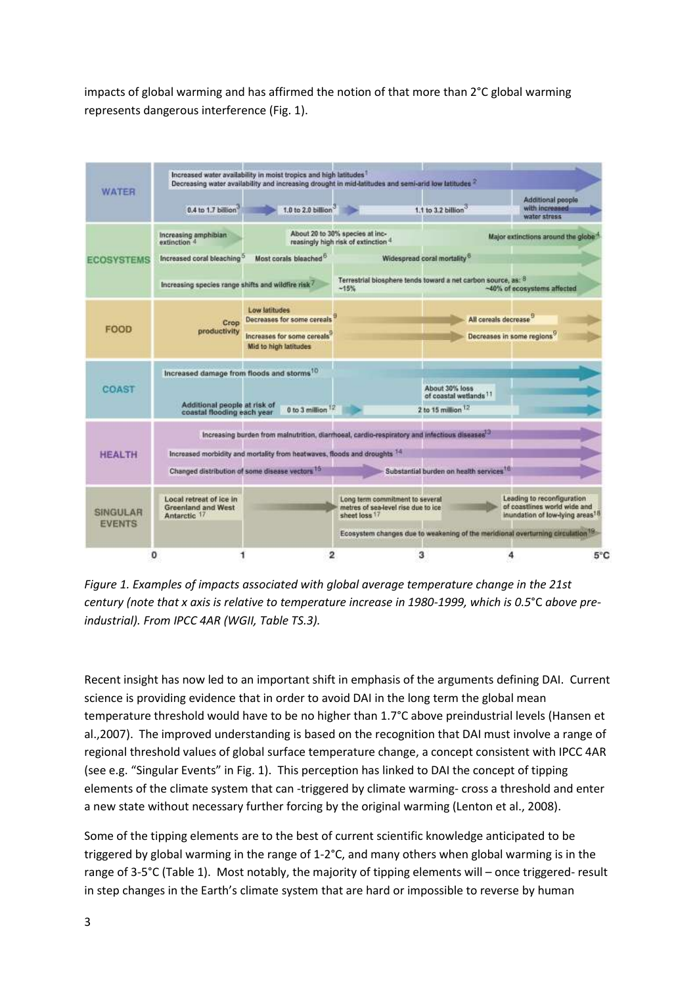impacts of global warming and has affirmed the notion of that more than 2°C global warming represents dangerous interference (Fig. 1).

| <b>WATER</b>                     | Increased water availability in moist tropics and high latitudes<br>Decreasing water availability and increasing drought in mid-latitudes and semi-arid low latitudes |                                                                                                           |                                                                                         |                                                                                            |                                                                                                           |     |  |
|----------------------------------|-----------------------------------------------------------------------------------------------------------------------------------------------------------------------|-----------------------------------------------------------------------------------------------------------|-----------------------------------------------------------------------------------------|--------------------------------------------------------------------------------------------|-----------------------------------------------------------------------------------------------------------|-----|--|
|                                  | 0.4 to 1.7 billion                                                                                                                                                    | 1.0 to 2.0 billion <sup>3</sup>                                                                           |                                                                                         | 1.1 to 3.2 billion                                                                         | Additional people<br>with increased<br>water stress                                                       |     |  |
| <b>ECOSYSTEMS</b>                | Increasing amphibian<br>extinction 4                                                                                                                                  |                                                                                                           | About 20 to 30% species at inc-<br>reasingly high risk of extinction 4                  |                                                                                            | Major extinctions around the globa                                                                        |     |  |
|                                  | Increased coral bleaching <sup>o</sup>                                                                                                                                | Most corals bleached <sup>6</sup>                                                                         |                                                                                         | Widespread coral mortality <sup>6</sup>                                                    |                                                                                                           |     |  |
|                                  | Increasing species range shifts and wildfire risk                                                                                                                     |                                                                                                           | $-15%$                                                                                  | Terrestrial biosphere tends toward a net carbon source, as: 8                              | ~40% of ecosystems affected                                                                               |     |  |
| <b>FOOD</b>                      | Crop                                                                                                                                                                  | Low latitudes<br>Decreases for some cereals                                                               |                                                                                         | All cereals decrease                                                                       |                                                                                                           |     |  |
|                                  | productivity                                                                                                                                                          | Increases for some cereals'<br>Mid to high latitudes                                                      |                                                                                         |                                                                                            | Decreases in some regions <sup>9</sup>                                                                    |     |  |
| <b>COAST</b>                     | Increased damage from floods and storms <sup>10</sup>                                                                                                                 |                                                                                                           |                                                                                         |                                                                                            |                                                                                                           |     |  |
|                                  | Additional people at risk of<br>coastal flooding each year.                                                                                                           | 0 to 3 million                                                                                            |                                                                                         | About 30% loss<br>of coastal wetlands <sup>11</sup><br>2 to 15 million 12                  |                                                                                                           |     |  |
|                                  |                                                                                                                                                                       | Increasing burden from mainutrition, diarrhoeal, cardio-respiratory and infectious diseases <sup>13</sup> |                                                                                         |                                                                                            |                                                                                                           |     |  |
| <b>HEALTH</b>                    |                                                                                                                                                                       | Increased morbidity and mortality from heatwaves, floods and droughts 14                                  |                                                                                         |                                                                                            |                                                                                                           |     |  |
|                                  |                                                                                                                                                                       | Changed distribution of some disease vectors 15                                                           |                                                                                         | Substantial burden on health services <sup>16</sup>                                        |                                                                                                           |     |  |
| <b>SINGULAR</b><br><b>EVENTS</b> | Local retreat of ice in<br><b>Greenland and West</b><br>Antarctic 17                                                                                                  |                                                                                                           | Long term commitment to several<br>metres of sea-level rise due to ice<br>sheet loss 17 |                                                                                            | Leading to reconfiguration<br>of coastlines world wide and<br>inundation of low-lying areas <sup>18</sup> |     |  |
|                                  |                                                                                                                                                                       |                                                                                                           |                                                                                         | Ecosystem changes due to weakening of the meridional overturning circulation <sup>19</sup> |                                                                                                           |     |  |
|                                  | o                                                                                                                                                                     | 2                                                                                                         | 3                                                                                       |                                                                                            |                                                                                                           | 5°C |  |

*Figure 1. Examples of impacts associated with global average temperature change in the 21st century (note that x axis is relative to temperature increase in 1980-1999, which is 0.5*°C *above preindustrial). From IPCC 4AR (WGII, Table TS.3).*

Recent insight has now led to an important shift in emphasis of the arguments defining DAI. Current science is providing evidence that in order to avoid DAI in the long term the global mean temperature threshold would have to be no higher than 1.7°C above preindustrial levels (Hansen et al.,2007). The improved understanding is based on the recognition that DAI must involve a range of regional threshold values of global surface temperature change, a concept consistent with IPCC 4AR (see e.g. "Singular Events" in Fig. 1). This perception has linked to DAI the concept of tipping elements of the climate system that can -triggered by climate warming- cross a threshold and enter a new state without necessary further forcing by the original warming (Lenton et al., 2008).

Some of the tipping elements are to the best of current scientific knowledge anticipated to be triggered by global warming in the range of 1-2°C, and many others when global warming is in the range of 3-5°C (Table 1). Most notably, the majority of tipping elements will – once triggered- result in step changes in the Earth's climate system that are hard or impossible to reverse by human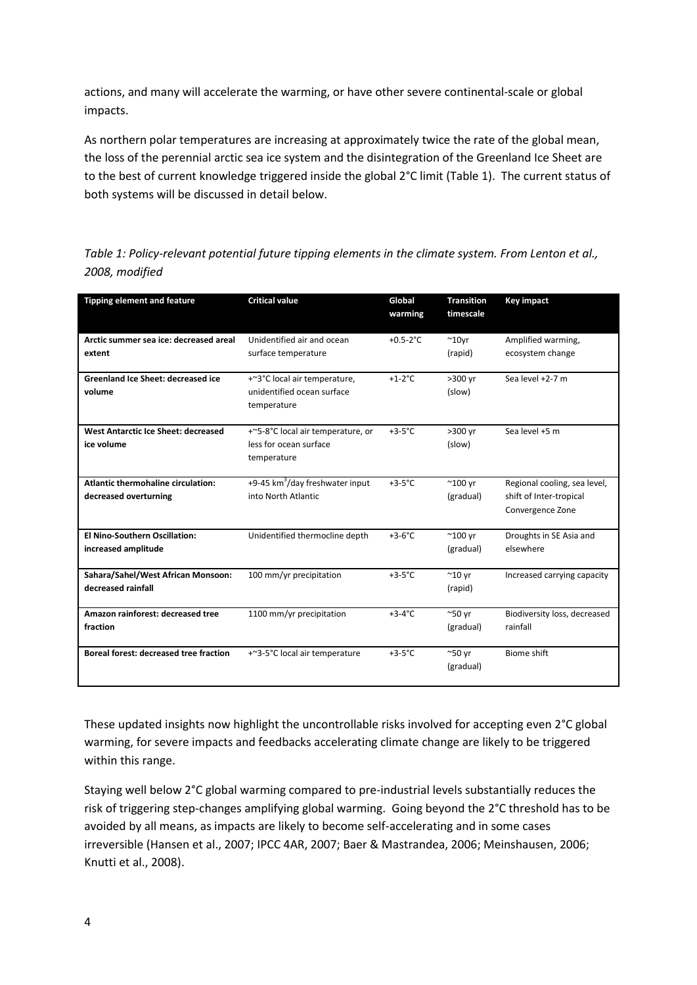actions, and many will accelerate the warming, or have other severe continental-scale or global impacts.

As northern polar temperatures are increasing at approximately twice the rate of the global mean, the loss of the perennial arctic sea ice system and the disintegration of the Greenland Ice Sheet are to the best of current knowledge triggered inside the global 2°C limit (Table 1). The current status of both systems will be discussed in detail below.

*Table 1: Policy-relevant potential future tipping elements in the climate system. From Lenton et al., 2008, modified*

| <b>Tipping element and feature</b>        | <b>Critical value</b>              | Global<br>warming | <b>Transition</b><br>timescale | <b>Key impact</b>            |
|-------------------------------------------|------------------------------------|-------------------|--------------------------------|------------------------------|
| Arctic summer sea ice: decreased areal    | Unidentified air and ocean         | $+0.5-2$ °C       | $^{\sim}$ 10yr                 | Amplified warming,           |
| extent                                    | surface temperature                |                   | (rapid)                        | ecosystem change             |
| <b>Greenland Ice Sheet: decreased ice</b> | +~3°C local air temperature,       | $+1-2$ °C         | >300 yr                        | Sea level +2-7 m             |
| volume                                    | unidentified ocean surface         |                   | (slow)                         |                              |
|                                           | temperature                        |                   |                                |                              |
| West Antarctic Ice Sheet: decreased       | +~5-8°C local air temperature, or  | $+3-5$ °C         | >300 yr                        | Sea level +5 m               |
| ice volume                                | less for ocean surface             |                   | (slow)                         |                              |
|                                           | temperature                        |                   |                                |                              |
| Atlantic thermohaline circulation:        | +9-45 $km^3$ /day freshwater input | $+3-5$ °C         | $^{\sim}$ 100 yr               | Regional cooling, sea level, |
| decreased overturning                     | into North Atlantic                |                   | (gradual)                      | shift of Inter-tropical      |
|                                           |                                    |                   |                                | Convergence Zone             |
| <b>El Nino-Southern Oscillation:</b>      | Unidentified thermocline depth     | $+3-6$ °C         | $^{\sim}$ 100 yr               | Droughts in SE Asia and      |
| increased amplitude                       |                                    |                   | (gradual)                      | elsewhere                    |
| Sahara/Sahel/West African Monsoon:        | 100 mm/yr precipitation            | $+3-5$ °C         | $^{\sim}$ 10 yr                | Increased carrying capacity  |
| decreased rainfall                        |                                    |                   | (rapid)                        |                              |
| Amazon rainforest: decreased tree         | 1100 mm/yr precipitation           | $+3-4$ °C         | $^{\sim}50$ yr                 | Biodiversity loss, decreased |
| fraction                                  |                                    |                   | (gradual)                      | rainfall                     |
| Boreal forest: decreased tree fraction    | +~3-5°C local air temperature      | $+3-5$ °C         | $^{\sim}50$ yr                 | Biome shift                  |
|                                           |                                    |                   | (gradual)                      |                              |

These updated insights now highlight the uncontrollable risks involved for accepting even 2°C global warming, for severe impacts and feedbacks accelerating climate change are likely to be triggered within this range.

Staying well below 2°C global warming compared to pre-industrial levels substantially reduces the risk of triggering step-changes amplifying global warming. Going beyond the 2°C threshold has to be avoided by all means, as impacts are likely to become self-accelerating and in some cases irreversible (Hansen et al., 2007; IPCC 4AR, 2007; Baer & Mastrandea, 2006; Meinshausen, 2006; Knutti et al., 2008).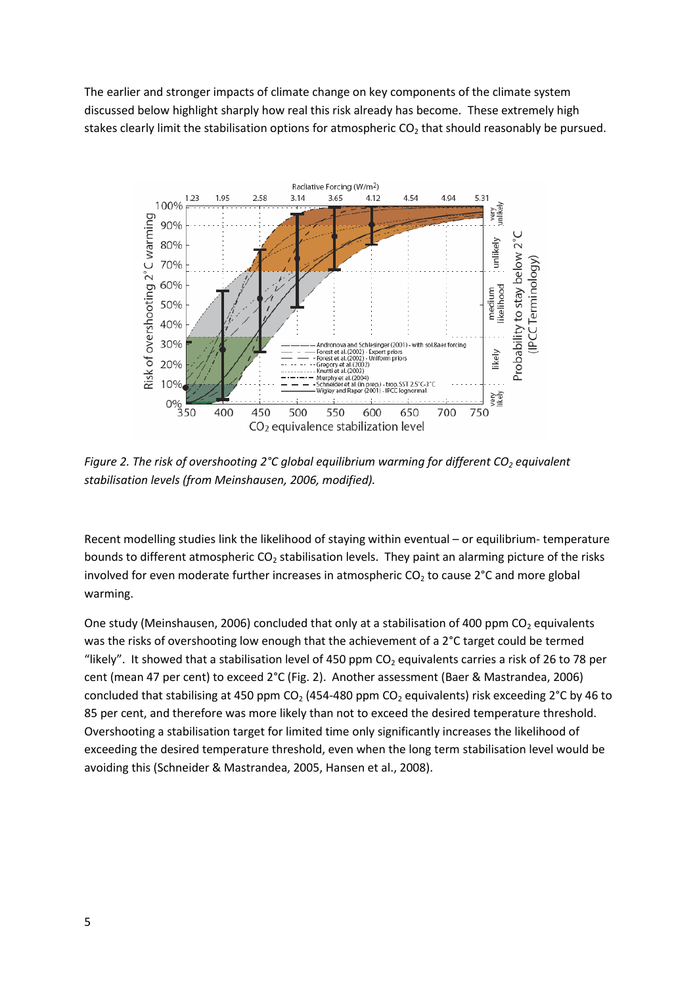The earlier and stronger impacts of climate change on key components of the climate system discussed below highlight sharply how real this risk already has become. These extremely high stakes clearly limit the stabilisation options for atmospheric  $CO<sub>2</sub>$  that should reasonably be pursued.



*Figure 2. The risk of overshooting 2°C global equilibrium warming for different CO<sup>2</sup> equivalent stabilisation levels (from Meinshausen, 2006, modified).*

Recent modelling studies link the likelihood of staying within eventual – or equilibrium- temperature bounds to different atmospheric CO<sub>2</sub> stabilisation levels. They paint an alarming picture of the risks involved for even moderate further increases in atmospheric  $CO<sub>2</sub>$  to cause 2°C and more global warming.

One study (Meinshausen, 2006) concluded that only at a stabilisation of 400 ppm CO<sub>2</sub> equivalents was the risks of overshooting low enough that the achievement of a 2°C target could be termed "likely". It showed that a stabilisation level of 450 ppm  $CO<sub>2</sub>$  equivalents carries a risk of 26 to 78 per cent (mean 47 per cent) to exceed 2°C (Fig. 2). Another assessment (Baer & Mastrandea, 2006) concluded that stabilising at 450 ppm CO<sub>2</sub> (454-480 ppm CO<sub>2</sub> equivalents) risk exceeding 2°C by 46 to 85 per cent, and therefore was more likely than not to exceed the desired temperature threshold. Overshooting a stabilisation target for limited time only significantly increases the likelihood of exceeding the desired temperature threshold, even when the long term stabilisation level would be avoiding this (Schneider & Mastrandea, 2005, Hansen et al., 2008).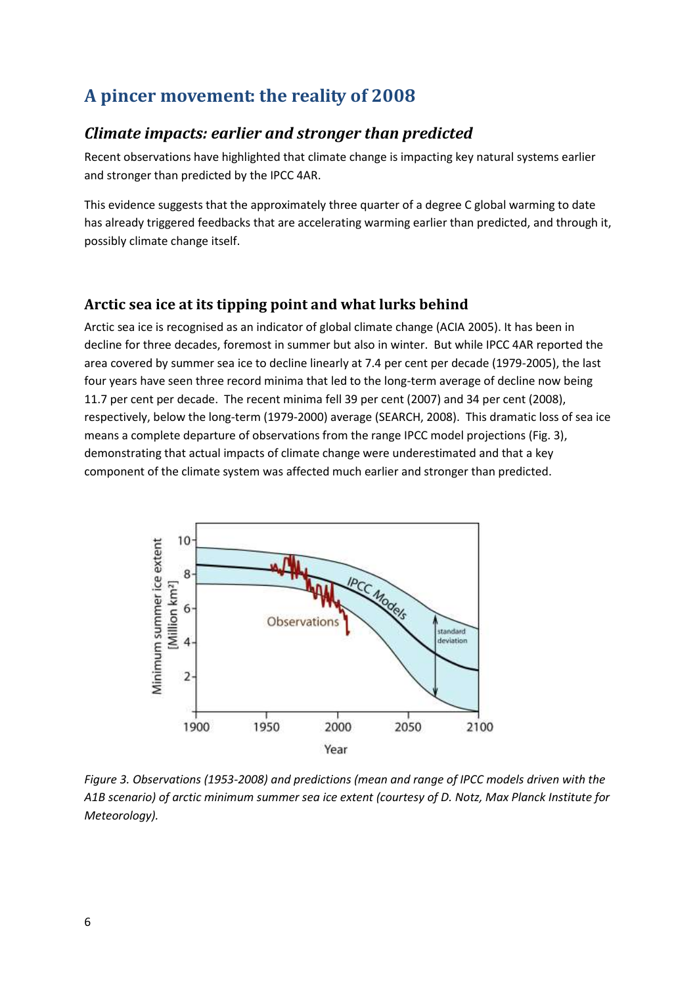# <span id="page-5-0"></span>**A pincer movement: the reality of 2008**

### <span id="page-5-1"></span>*Climate impacts: earlier and stronger than predicted*

Recent observations have highlighted that climate change is impacting key natural systems earlier and stronger than predicted by the IPCC 4AR.

This evidence suggests that the approximately three quarter of a degree C global warming to date has already triggered feedbacks that are accelerating warming earlier than predicted, and through it, possibly climate change itself.

#### <span id="page-5-2"></span>**Arctic sea ice at its tipping point and what lurks behind**

Arctic sea ice is recognised as an indicator of global climate change (ACIA 2005). It has been in decline for three decades, foremost in summer but also in winter. But while IPCC 4AR reported the area covered by summer sea ice to decline linearly at 7.4 per cent per decade (1979-2005), the last four years have seen three record minima that led to the long-term average of decline now being 11.7 per cent per decade. The recent minima fell 39 per cent (2007) and 34 per cent (2008), respectively, below the long-term (1979-2000) average (SEARCH, 2008). This dramatic loss of sea ice means a complete departure of observations from the range IPCC model projections (Fig. 3), demonstrating that actual impacts of climate change were underestimated and that a key component of the climate system was affected much earlier and stronger than predicted.



*Figure 3. Observations (1953-2008) and predictions (mean and range of IPCC models driven with the A1B scenario) of arctic minimum summer sea ice extent (courtesy of D. Notz, Max Planck Institute for Meteorology).*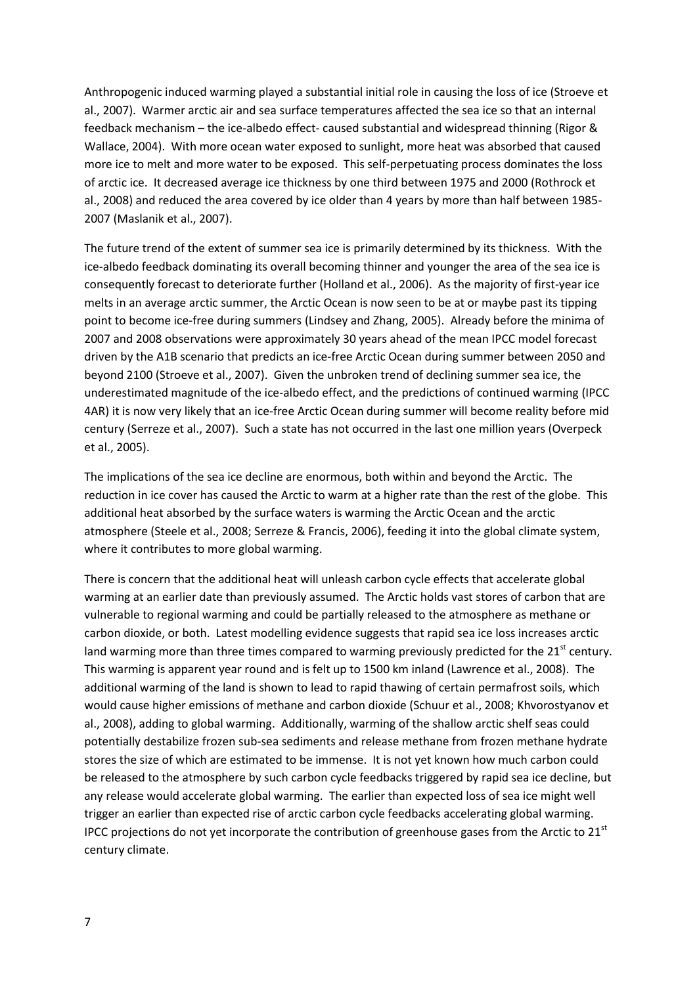Anthropogenic induced warming played a substantial initial role in causing the loss of ice (Stroeve et al., 2007). Warmer arctic air and sea surface temperatures affected the sea ice so that an internal feedback mechanism – the ice-albedo effect- caused substantial and widespread thinning (Rigor & Wallace, 2004). With more ocean water exposed to sunlight, more heat was absorbed that caused more ice to melt and more water to be exposed. This self-perpetuating process dominates the loss of arctic ice. It decreased average ice thickness by one third between 1975 and 2000 (Rothrock et al., 2008) and reduced the area covered by ice older than 4 years by more than half between 1985- 2007 (Maslanik et al., 2007).

The future trend of the extent of summer sea ice is primarily determined by its thickness. With the ice-albedo feedback dominating its overall becoming thinner and younger the area of the sea ice is consequently forecast to deteriorate further (Holland et al., 2006). As the majority of first-year ice melts in an average arctic summer, the Arctic Ocean is now seen to be at or maybe past its tipping point to become ice-free during summers (Lindsey and Zhang, 2005). Already before the minima of 2007 and 2008 observations were approximately 30 years ahead of the mean IPCC model forecast driven by the A1B scenario that predicts an ice-free Arctic Ocean during summer between 2050 and beyond 2100 (Stroeve et al., 2007). Given the unbroken trend of declining summer sea ice, the underestimated magnitude of the ice-albedo effect, and the predictions of continued warming (IPCC 4AR) it is now very likely that an ice-free Arctic Ocean during summer will become reality before mid century (Serreze et al., 2007). Such a state has not occurred in the last one million years (Overpeck et al., 2005).

The implications of the sea ice decline are enormous, both within and beyond the Arctic. The reduction in ice cover has caused the Arctic to warm at a higher rate than the rest of the globe. This additional heat absorbed by the surface waters is warming the Arctic Ocean and the arctic atmosphere (Steele et al., 2008; Serreze & Francis, 2006), feeding it into the global climate system, where it contributes to more global warming.

There is concern that the additional heat will unleash carbon cycle effects that accelerate global warming at an earlier date than previously assumed. The Arctic holds vast stores of carbon that are vulnerable to regional warming and could be partially released to the atmosphere as methane or carbon dioxide, or both. Latest modelling evidence suggests that rapid sea ice loss increases arctic land warming more than three times compared to warming previously predicted for the  $21<sup>st</sup>$  century. This warming is apparent year round and is felt up to 1500 km inland (Lawrence et al., 2008). The additional warming of the land is shown to lead to rapid thawing of certain permafrost soils, which would cause higher emissions of methane and carbon dioxide (Schuur et al., 2008; Khvorostyanov et al., 2008), adding to global warming. Additionally, warming of the shallow arctic shelf seas could potentially destabilize frozen sub-sea sediments and release methane from frozen methane hydrate stores the size of which are estimated to be immense. It is not yet known how much carbon could be released to the atmosphere by such carbon cycle feedbacks triggered by rapid sea ice decline, but any release would accelerate global warming. The earlier than expected loss of sea ice might well trigger an earlier than expected rise of arctic carbon cycle feedbacks accelerating global warming. IPCC projections do not yet incorporate the contribution of greenhouse gases from the Arctic to  $21<sup>st</sup>$ century climate.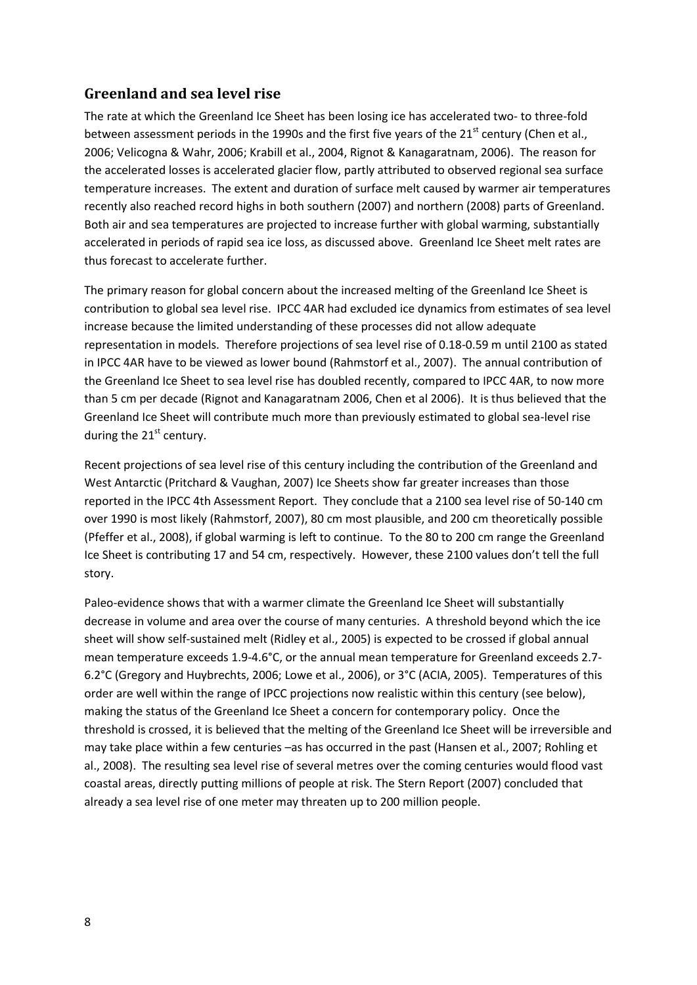### <span id="page-7-0"></span>**Greenland and sea level rise**

The rate at which the Greenland Ice Sheet has been losing ice has accelerated two- to three-fold between assessment periods in the 1990s and the first five years of the 21<sup>st</sup> century (Chen et al., 2006; Velicogna & Wahr, 2006; Krabill et al., 2004, Rignot & Kanagaratnam, 2006). The reason for the accelerated losses is accelerated glacier flow, partly attributed to observed regional sea surface temperature increases. The extent and duration of surface melt caused by warmer air temperatures recently also reached record highs in both southern (2007) and northern (2008) parts of Greenland. Both air and sea temperatures are projected to increase further with global warming, substantially accelerated in periods of rapid sea ice loss, as discussed above. Greenland Ice Sheet melt rates are thus forecast to accelerate further.

The primary reason for global concern about the increased melting of the Greenland Ice Sheet is contribution to global sea level rise. IPCC 4AR had excluded ice dynamics from estimates of sea level increase because the limited understanding of these processes did not allow adequate representation in models. Therefore projections of sea level rise of 0.18-0.59 m until 2100 as stated in IPCC 4AR have to be viewed as lower bound (Rahmstorf et al., 2007). The annual contribution of the Greenland Ice Sheet to sea level rise has doubled recently, compared to IPCC 4AR, to now more than 5 cm per decade (Rignot and Kanagaratnam 2006, Chen et al 2006). It is thus believed that the Greenland Ice Sheet will contribute much more than previously estimated to global sea-level rise during the  $21<sup>st</sup>$  century.

Recent projections of sea level rise of this century including the contribution of the Greenland and West Antarctic (Pritchard & Vaughan, 2007) Ice Sheets show far greater increases than those reported in the IPCC 4th Assessment Report. They conclude that a 2100 sea level rise of 50-140 cm over 1990 is most likely (Rahmstorf, 2007), 80 cm most plausible, and 200 cm theoretically possible (Pfeffer et al., 2008), if global warming is left to continue. To the 80 to 200 cm range the Greenland Ice Sheet is contributing 17 and 54 cm, respectively. However, these 2100 values don't tell the full story.

Paleo-evidence shows that with a warmer climate the Greenland Ice Sheet will substantially decrease in volume and area over the course of many centuries. A threshold beyond which the ice sheet will show self-sustained melt (Ridley et al., 2005) is expected to be crossed if global annual mean temperature exceeds 1.9-4.6°C, or the annual mean temperature for Greenland exceeds 2.7- 6.2°C (Gregory and Huybrechts, 2006; Lowe et al., 2006), or 3°C (ACIA, 2005). Temperatures of this order are well within the range of IPCC projections now realistic within this century (see below), making the status of the Greenland Ice Sheet a concern for contemporary policy. Once the threshold is crossed, it is believed that the melting of the Greenland Ice Sheet will be irreversible and may take place within a few centuries –as has occurred in the past (Hansen et al., 2007; Rohling et al., 2008). The resulting sea level rise of several metres over the coming centuries would flood vast coastal areas, directly putting millions of people at risk. The Stern Report (2007) concluded that already a sea level rise of one meter may threaten up to 200 million people.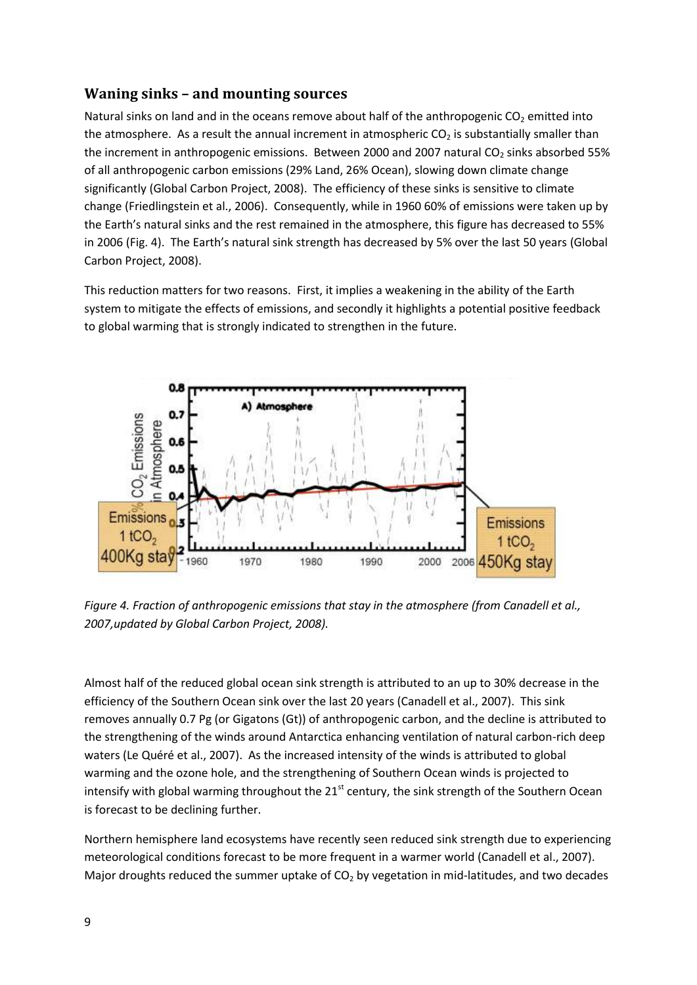#### <span id="page-8-0"></span>**Waning sinks – and mounting sources**

Natural sinks on land and in the oceans remove about half of the anthropogenic CO<sub>2</sub> emitted into the atmosphere. As a result the annual increment in atmospheric  $CO<sub>2</sub>$  is substantially smaller than the increment in anthropogenic emissions. Between 2000 and 2007 natural  $CO<sub>2</sub>$  sinks absorbed 55% of all anthropogenic carbon emissions (29% Land, 26% Ocean), slowing down climate change significantly (Global Carbon Project, 2008). The efficiency of these sinks is sensitive to climate change (Friedlingstein et al., 2006). Consequently, while in 1960 60% of emissions were taken up by the Earth's natural sinks and the rest remained in the atmosphere, this figure has decreased to 55% in 2006 (Fig. 4). The Earth's natural sink strength has decreased by 5% over the last 50 years (Global Carbon Project, 2008).

This reduction matters for two reasons. First, it implies a weakening in the ability of the Earth system to mitigate the effects of emissions, and secondly it highlights a potential positive feedback to global warming that is strongly indicated to strengthen in the future.



*Figure 4. Fraction of anthropogenic emissions that stay in the atmosphere (from Canadell et al., 2007,updated by Global Carbon Project, 2008).*

Almost half of the reduced global ocean sink strength is attributed to an up to 30% decrease in the efficiency of the Southern Ocean sink over the last 20 years (Canadell et al., 2007). This sink removes annually 0.7 Pg (or Gigatons (Gt)) of anthropogenic carbon, and the decline is attributed to the strengthening of the winds around Antarctica enhancing ventilation of natural carbon-rich deep waters (Le Quéré et al., 2007). As the increased intensity of the winds is attributed to global warming and the ozone hole, and the strengthening of Southern Ocean winds is projected to intensify with global warming throughout the  $21<sup>st</sup>$  century, the sink strength of the Southern Ocean is forecast to be declining further.

Northern hemisphere land ecosystems have recently seen reduced sink strength due to experiencing meteorological conditions forecast to be more frequent in a warmer world (Canadell et al., 2007). Major droughts reduced the summer uptake of  $CO<sub>2</sub>$  by vegetation in mid-latitudes, and two decades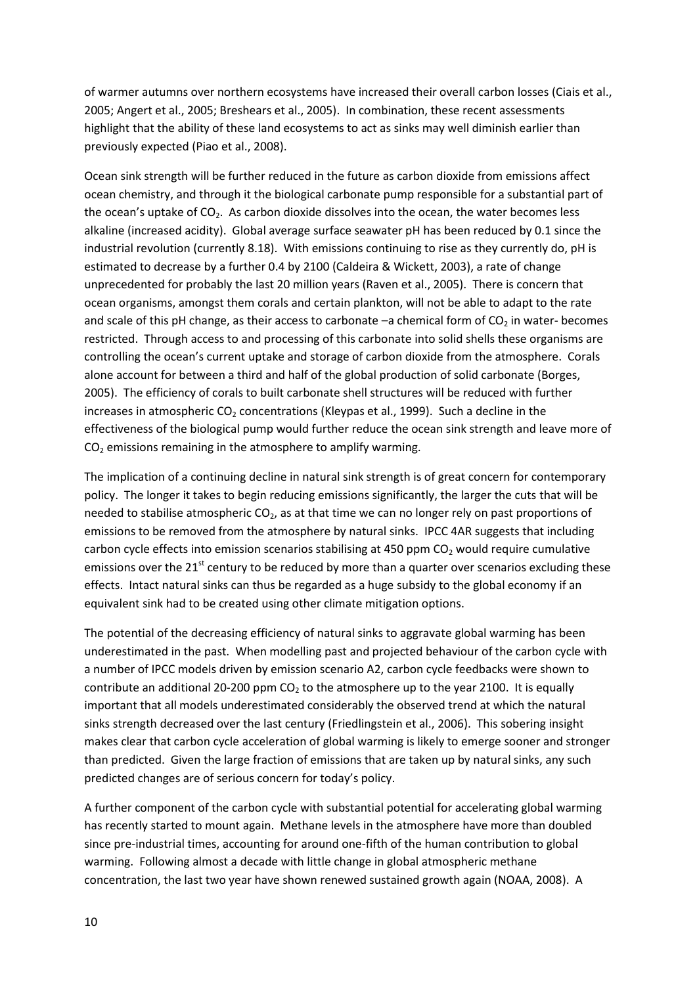of warmer autumns over northern ecosystems have increased their overall carbon losses (Ciais et al., 2005; Angert et al., 2005; Breshears et al., 2005). In combination, these recent assessments highlight that the ability of these land ecosystems to act as sinks may well diminish earlier than previously expected (Piao et al., 2008).

Ocean sink strength will be further reduced in the future as carbon dioxide from emissions affect ocean chemistry, and through it the biological carbonate pump responsible for a substantial part of the ocean's uptake of CO<sub>2</sub>. As carbon dioxide dissolves into the ocean, the water becomes less alkaline (increased acidity). Global average surface seawater pH has been reduced by 0.1 since the industrial revolution (currently 8.18). With emissions continuing to rise as they currently do, pH is estimated to decrease by a further 0.4 by 2100 (Caldeira & Wickett, 2003), a rate of change unprecedented for probably the last 20 million years (Raven et al., 2005). There is concern that ocean organisms, amongst them corals and certain plankton, will not be able to adapt to the rate and scale of this pH change, as their access to carbonate  $-a$  chemical form of  $CO<sub>2</sub>$  in water- becomes restricted. Through access to and processing of this carbonate into solid shells these organisms are controlling the ocean's current uptake and storage of carbon dioxide from the atmosphere. Corals alone account for between a third and half of the global production of solid carbonate (Borges, 2005). The efficiency of corals to built carbonate shell structures will be reduced with further increases in atmospheric  $CO<sub>2</sub>$  concentrations (Kleypas et al., 1999). Such a decline in the effectiveness of the biological pump would further reduce the ocean sink strength and leave more of  $CO<sub>2</sub>$  emissions remaining in the atmosphere to amplify warming.

The implication of a continuing decline in natural sink strength is of great concern for contemporary policy. The longer it takes to begin reducing emissions significantly, the larger the cuts that will be needed to stabilise atmospheric  $CO<sub>2</sub>$ , as at that time we can no longer rely on past proportions of emissions to be removed from the atmosphere by natural sinks. IPCC 4AR suggests that including carbon cycle effects into emission scenarios stabilising at 450 ppm  $CO<sub>2</sub>$  would require cumulative emissions over the 21<sup>st</sup> century to be reduced by more than a quarter over scenarios excluding these effects. Intact natural sinks can thus be regarded as a huge subsidy to the global economy if an equivalent sink had to be created using other climate mitigation options.

The potential of the decreasing efficiency of natural sinks to aggravate global warming has been underestimated in the past. When modelling past and projected behaviour of the carbon cycle with a number of IPCC models driven by emission scenario A2, carbon cycle feedbacks were shown to contribute an additional 20-200 ppm  $CO<sub>2</sub>$  to the atmosphere up to the year 2100. It is equally important that all models underestimated considerably the observed trend at which the natural sinks strength decreased over the last century (Friedlingstein et al., 2006). This sobering insight makes clear that carbon cycle acceleration of global warming is likely to emerge sooner and stronger than predicted. Given the large fraction of emissions that are taken up by natural sinks, any such predicted changes are of serious concern for today's policy.

A further component of the carbon cycle with substantial potential for accelerating global warming has recently started to mount again. Methane levels in the atmosphere have more than doubled since pre-industrial times, accounting for around one-fifth of the human contribution to global warming. Following almost a decade with little change in global atmospheric methane concentration, the last two year have shown renewed sustained growth again (NOAA, 2008). A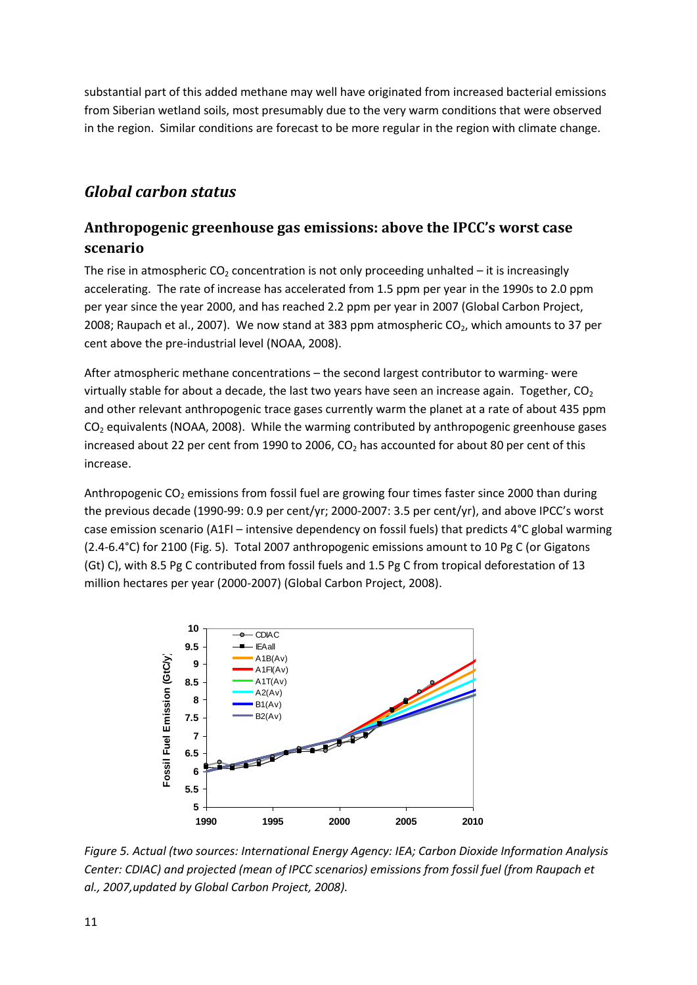substantial part of this added methane may well have originated from increased bacterial emissions from Siberian wetland soils, most presumably due to the very warm conditions that were observed in the region. Similar conditions are forecast to be more regular in the region with climate change.

## <span id="page-10-0"></span>*Global carbon status*

### <span id="page-10-1"></span>**Anthropogenic greenhouse gas emissions: above the IPCC's worst case scenario**

The rise in atmospheric  $CO<sub>2</sub>$  concentration is not only proceeding unhalted – it is increasingly accelerating. The rate of increase has accelerated from 1.5 ppm per year in the 1990s to 2.0 ppm per year since the year 2000, and has reached 2.2 ppm per year in 2007 (Global Carbon Project, 2008; Raupach et al., 2007). We now stand at 383 ppm atmospheric  $CO<sub>2</sub>$ , which amounts to 37 per cent above the pre-industrial level (NOAA, 2008).

After atmospheric methane concentrations – the second largest contributor to warming- were virtually stable for about a decade, the last two years have seen an increase again. Together,  $CO<sub>2</sub>$ and other relevant anthropogenic trace gases currently warm the planet at a rate of about 435 ppm  $CO<sub>2</sub>$  equivalents (NOAA, 2008). While the warming contributed by anthropogenic greenhouse gases increased about 22 per cent from 1990 to 2006,  $CO<sub>2</sub>$  has accounted for about 80 per cent of this increase.

Anthropogenic  $CO<sub>2</sub>$  emissions from fossil fuel are growing four times faster since 2000 than during the previous decade (1990-99: 0.9 per cent/yr; 2000-2007: 3.5 per cent/yr), and above IPCC's worst case emission scenario (A1FI – intensive dependency on fossil fuels) that predicts 4°C global warming (2.4-6.4°C) for 2100 (Fig. 5). Total 2007 anthropogenic emissions amount to 10 Pg C (or Gigatons (Gt) C), with 8.5 Pg C contributed from fossil fuels and 1.5 Pg C from tropical deforestation of 13 million hectares per year (2000-2007) (Global Carbon Project, 2008).



*Figure 5. Actual (two sources: International Energy Agency: IEA; Carbon Dioxide Information Analysis Center: CDIAC) and projected (mean of IPCC scenarios) emissions from fossil fuel (from Raupach et al., 2007,updated by Global Carbon Project, 2008).*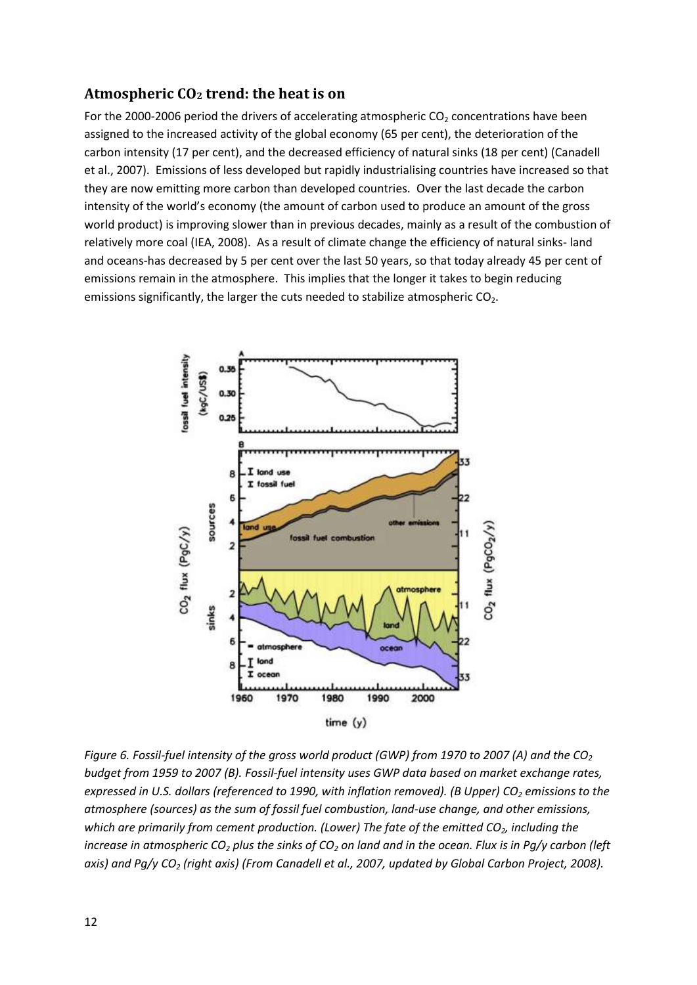#### <span id="page-11-0"></span>**Atmospheric CO<sup>2</sup> trend: the heat is on**

For the 2000-2006 period the drivers of accelerating atmospheric  $CO<sub>2</sub>$  concentrations have been assigned to the increased activity of the global economy (65 per cent), the deterioration of the carbon intensity (17 per cent), and the decreased efficiency of natural sinks (18 per cent) (Canadell et al., 2007). Emissions of less developed but rapidly industrialising countries have increased so that they are now emitting more carbon than developed countries. Over the last decade the carbon intensity of the world's economy (the amount of carbon used to produce an amount of the gross world product) is improving slower than in previous decades, mainly as a result of the combustion of relatively more coal (IEA, 2008). As a result of climate change the efficiency of natural sinks- land and oceans-has decreased by 5 per cent over the last 50 years, so that today already 45 per cent of emissions remain in the atmosphere. This implies that the longer it takes to begin reducing emissions significantly, the larger the cuts needed to stabilize atmospheric  $CO<sub>2</sub>$ .



*Figure 6. Fossil-fuel intensity of the gross world product (GWP) from 1970 to 2007 (A) and the CO<sup>2</sup> budget from 1959 to 2007 (B). Fossil-fuel intensity uses GWP data based on market exchange rates, expressed in U.S. dollars (referenced to 1990, with inflation removed). (B Upper) CO<sup>2</sup> emissions to the atmosphere (sources) as the sum of fossil fuel combustion, land-use change, and other emissions, which are primarily from cement production. (Lower) The fate of the emitted CO2, including the increase in atmospheric CO<sup>2</sup> plus the sinks of CO<sup>2</sup> on land and in the ocean. Flux is in Pg/y carbon (left axis) and Pg/y CO<sup>2</sup> (right axis) (From Canadell et al., 2007, updated by Global Carbon Project, 2008).*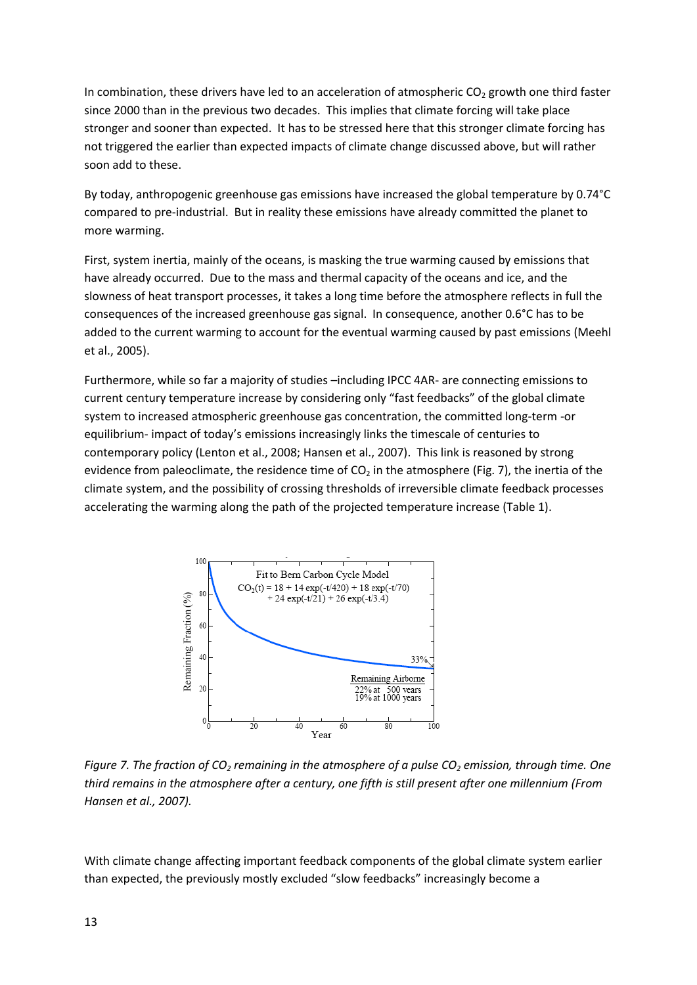In combination, these drivers have led to an acceleration of atmospheric  $CO<sub>2</sub>$  growth one third faster since 2000 than in the previous two decades. This implies that climate forcing will take place stronger and sooner than expected. It has to be stressed here that this stronger climate forcing has not triggered the earlier than expected impacts of climate change discussed above, but will rather soon add to these.

By today, anthropogenic greenhouse gas emissions have increased the global temperature by 0.74°C compared to pre-industrial. But in reality these emissions have already committed the planet to more warming.

First, system inertia, mainly of the oceans, is masking the true warming caused by emissions that have already occurred. Due to the mass and thermal capacity of the oceans and ice, and the slowness of heat transport processes, it takes a long time before the atmosphere reflects in full the consequences of the increased greenhouse gas signal. In consequence, another 0.6°C has to be added to the current warming to account for the eventual warming caused by past emissions (Meehl et al., 2005).

Furthermore, while so far a majority of studies –including IPCC 4AR- are connecting emissions to current century temperature increase by considering only "fast feedbacks" of the global climate system to increased atmospheric greenhouse gas concentration, the committed long-term -or equilibrium- impact of today's emissions increasingly links the timescale of centuries to contemporary policy (Lenton et al., 2008; Hansen et al., 2007). This link is reasoned by strong evidence from paleoclimate, the residence time of  $CO<sub>2</sub>$  in the atmosphere (Fig. 7), the inertia of the climate system, and the possibility of crossing thresholds of irreversible climate feedback processes accelerating the warming along the path of the projected temperature increase (Table 1).



*Figure 7. The fraction of CO<sup>2</sup> remaining in the atmosphere of a pulse CO<sup>2</sup> emission, through time. One third remains in the atmosphere after a century, one fifth is still present after one millennium (From Hansen et al., 2007).*

With climate change affecting important feedback components of the global climate system earlier than expected, the previously mostly excluded "slow feedbacks" increasingly become a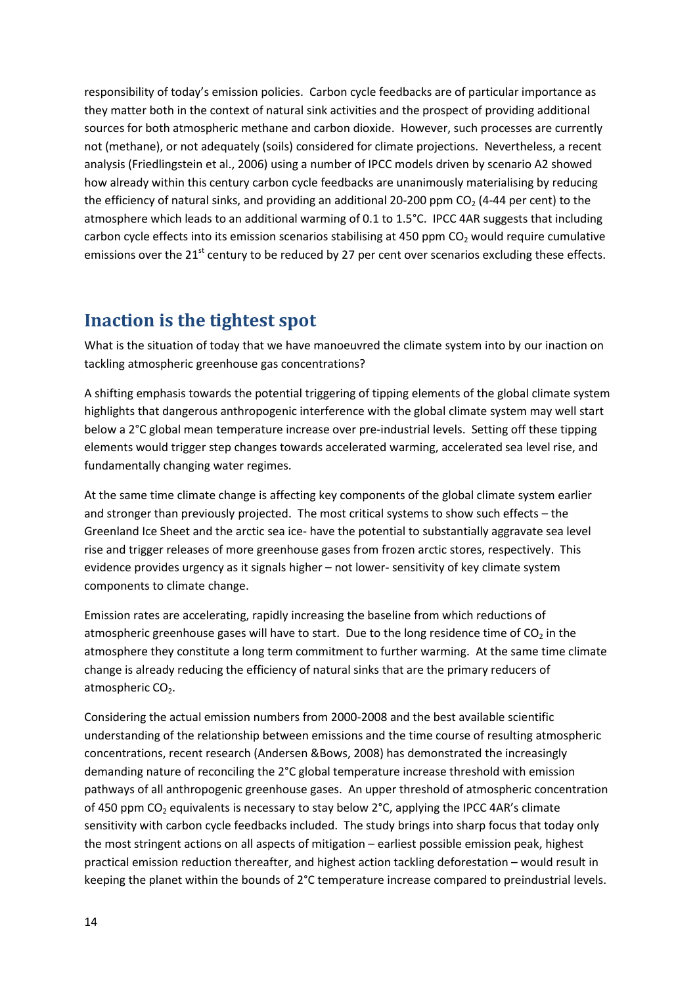responsibility of today's emission policies. Carbon cycle feedbacks are of particular importance as they matter both in the context of natural sink activities and the prospect of providing additional sources for both atmospheric methane and carbon dioxide. However, such processes are currently not (methane), or not adequately (soils) considered for climate projections. Nevertheless, a recent analysis (Friedlingstein et al., 2006) using a number of IPCC models driven by scenario A2 showed how already within this century carbon cycle feedbacks are unanimously materialising by reducing the efficiency of natural sinks, and providing an additional 20-200 ppm  $CO<sub>2</sub>$  (4-44 per cent) to the atmosphere which leads to an additional warming of 0.1 to 1.5°C. IPCC 4AR suggests that including carbon cycle effects into its emission scenarios stabilising at 450 ppm  $CO<sub>2</sub>$  would require cumulative emissions over the 21<sup>st</sup> century to be reduced by 27 per cent over scenarios excluding these effects.

## <span id="page-13-0"></span>**Inaction is the tightest spot**

What is the situation of today that we have manoeuvred the climate system into by our inaction on tackling atmospheric greenhouse gas concentrations?

A shifting emphasis towards the potential triggering of tipping elements of the global climate system highlights that dangerous anthropogenic interference with the global climate system may well start below a 2°C global mean temperature increase over pre-industrial levels. Setting off these tipping elements would trigger step changes towards accelerated warming, accelerated sea level rise, and fundamentally changing water regimes.

At the same time climate change is affecting key components of the global climate system earlier and stronger than previously projected. The most critical systems to show such effects – the Greenland Ice Sheet and the arctic sea ice- have the potential to substantially aggravate sea level rise and trigger releases of more greenhouse gases from frozen arctic stores, respectively. This evidence provides urgency as it signals higher – not lower- sensitivity of key climate system components to climate change.

Emission rates are accelerating, rapidly increasing the baseline from which reductions of atmospheric greenhouse gases will have to start. Due to the long residence time of  $CO<sub>2</sub>$  in the atmosphere they constitute a long term commitment to further warming. At the same time climate change is already reducing the efficiency of natural sinks that are the primary reducers of atmospheric  $CO<sub>2</sub>$ .

Considering the actual emission numbers from 2000-2008 and the best available scientific understanding of the relationship between emissions and the time course of resulting atmospheric concentrations, recent research (Andersen &Bows, 2008) has demonstrated the increasingly demanding nature of reconciling the 2°C global temperature increase threshold with emission pathways of all anthropogenic greenhouse gases. An upper threshold of atmospheric concentration of 450 ppm  $CO<sub>2</sub>$  equivalents is necessary to stay below  $2^{\circ}C$ , applying the IPCC 4AR's climate sensitivity with carbon cycle feedbacks included. The study brings into sharp focus that today only the most stringent actions on all aspects of mitigation – earliest possible emission peak, highest practical emission reduction thereafter, and highest action tackling deforestation – would result in keeping the planet within the bounds of 2°C temperature increase compared to preindustrial levels.